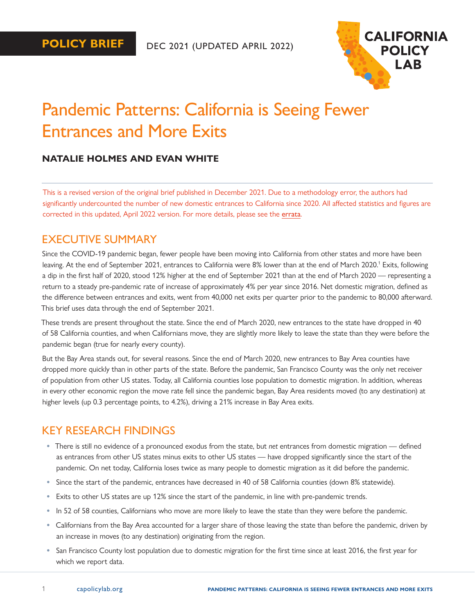

# <span id="page-0-0"></span>Pandemic Patterns: California is Seeing Fewer Entrances and More Exits

### **NATALIE HOLMES AND EVAN WHITE**

This is a revised version of the original brief published in December 2021. Due to a methodology error, the authors had significantly undercounted the number of new domestic entrances to California since 2020. All affected statistics and figures are corrected in this updated, April 2022 version. For more details, please see the [errata](https://www.capolicylab.org/wp-content/uploads/2022/04/Correcting-the-record-about-post-2020-entrances-to-California.pdf).

### EXECUTIVE SUMMARY

Since the COVID-19 pandemic began, fewer people have been moving into California from other states and more have been leaving. At the end of September 202[1](#page-11-0), entrances to California were 8% lower than at the end of March 2020.<sup>1</sup> Exits, following a dip in the first half of 2020, stood 12% higher at the end of September 2021 than at the end of March 2020 — representing a return to a steady pre-pandemic rate of increase of approximately 4% per year since 2016. Net domestic migration, defined as the difference between entrances and exits, went from 40,000 net exits per quarter prior to the pandemic to 80,000 afterward. This brief uses data through the end of September 2021.

These trends are present throughout the state. Since the end of March 2020, new entrances to the state have dropped in 40 of 58 California counties, and when Californians move, they are slightly more likely to leave the state than they were before the pandemic began (true for nearly every county).

But the Bay Area stands out, for several reasons. Since the end of March 2020, new entrances to Bay Area counties have dropped more quickly than in other parts of the state. Before the pandemic, San Francisco County was the only net receiver of population from other US states. Today, all California counties lose population to domestic migration. In addition, whereas in every other economic region the move rate fell since the pandemic began, Bay Area residents moved (to any destination) at higher levels (up 0.3 percentage points, to 4.2%), driving a 21% increase in Bay Area exits.

### KEY RESEARCH FINDINGS

- **•** There is still no evidence of a pronounced exodus from the state, but *net* entrances from domestic migration defined as entrances from other US states minus exits to other US states — have dropped significantly since the start of the pandemic. On net today, California loses twice as many people to domestic migration as it did before the pandemic.
- **•** Since the start of the pandemic, entrances have decreased in 40 of 58 California counties (down 8% statewide).
- **•** Exits to other US states are up 12% since the start of the pandemic, in line with pre-pandemic trends.
- **•** In 52 of 58 counties, Californians who move are more likely to leave the state than they were before the pandemic.
- **•** Californians from the Bay Area accounted for a larger share of those leaving the state than before the pandemic, driven by an increase in moves (to any destination) originating from the region.
- **•** San Francisco County lost population due to domestic migration for the first time since at least 2016, the first year for which we report data.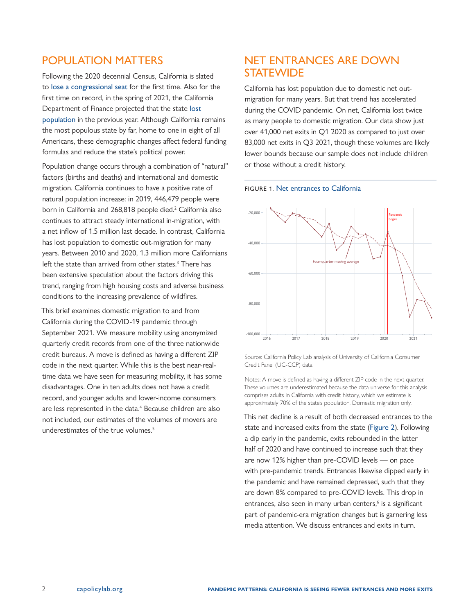# <span id="page-1-0"></span>POPULATION MATTERS

Following the 2020 decennial Census, California is slated to [lose a congressional seat](https://calmatters.org/politics/2021/04/california-congress-census/) for the first time. Also for the first time on record, in the spring of 2021, the California Department of Finance projected that the state [lost](https://www.ppic.org/blog/californias-stalled-population-growth/)  [population](https://www.ppic.org/blog/californias-stalled-population-growth/) in the previous year. Although California remains the most populous state by far, home to one in eight of all Americans, these demographic changes affect federal funding formulas and reduce the state's political power.

Population change occurs through a combination of "natural" factors (births and deaths) and international and domestic migration. California continues to have a positive rate of natural population increase: in 2019, 446,479 people were born in California and [2](#page-11-0)68,818 people died.<sup>2</sup> California also continues to attract steady international in-migration, with a net inflow of 1.5 million last decade. In contrast, California has lost population to domestic out-migration for many years. Between 2010 and 2020, 1.3 million more Californians left the state than arrived from other states.<sup>[3](#page-11-0)</sup> There has been extensive speculation about the factors driving this trend, ranging from high housing costs and adverse business conditions to the increasing prevalence of wildfires.

This brief examines domestic migration to and from California during the COVID-19 pandemic through September 2021. We measure mobility using anonymized quarterly credit records from one of the three nationwide credit bureaus. A move is defined as having a different ZIP code in the next quarter. While this is the best near-realtime data we have seen for measuring mobility, it has some disadvantages. One in ten adults does not have a credit record, and younger adults and lower-income consumers are less represented in the data.<sup>4</sup> Because children are also not included, our estimates of the volumes of movers are underestimates of the true volumes.<sup>5</sup>

# NET ENTRANCES ARE DOWN **STATEWIDE**

California has lost population due to domestic net outmigration for many years. But that trend has accelerated during the COVID pandemic. On net, California lost twice as many people to domestic migration. Our data show just over 41,000 net exits in Q1 2020 as compared to just over 83,000 net exits in Q3 2021, though these volumes are likely lower bounds because our sample does not include children or those without a credit history.





Source: California Policy Lab analysis of University of California Consumer Credit Panel (UC-CCP) data.

Notes: A move is defined as having a different ZIP code in the next quarter. These volumes are underestimated because the data universe for this analysis comprises adults in California with credit history, which we estimate is approximately 70% of the state's population. Domestic migration only.

This net decline is a result of both decreased entrances to the state and increased exits from the state (Figure 2). Following a dip early in the pandemic, exits rebounded in the latter half of 2020 and have continued to increase such that they are now 12% higher than pre-COVID levels — on pace with pre-pandemic trends. Entrances likewise dipped early in the pandemic and have remained depressed, such that they are down 8% compared to pre-COVID levels. This drop in entrances, also seen in many urban centers,<sup>[6](#page-11-0)</sup> is a significant part of pandemic-era migration changes but is garnering less media attention. We discuss entrances and exits in turn.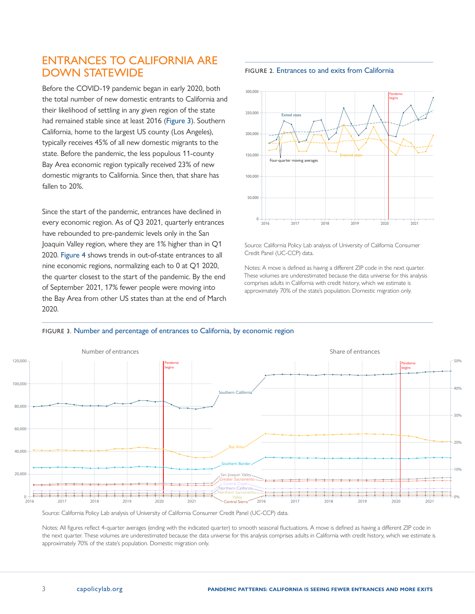# ENTRANCES TO CALIFORNIA ARE DOWN STATEWIDE

Before the COVID-19 pandemic began in early 2020, both the total number of new domestic entrants to California and their likelihood of settling in any given region of the state had remained stable since at least 2016 (Figure 3). Southern California, home to the largest US county (Los Angeles), typically receives 45% of all new domestic migrants to the state. Before the pandemic, the less populous 11-county Bay Area economic region typically received 23% of new domestic migrants to California. Since then, that share has fallen to 20%.

Since the start of the pandemic, entrances have declined in every economic region. As of Q3 2021, quarterly entrances have rebounded to pre-pandemic levels only in the San Joaquin Valley region, where they are 1% higher than in Q1 2020. Figure 4 shows trends in out-of-state entrances to all nine economic regions, normalizing each to 0 at Q1 2020, the quarter closest to the start of the pandemic. By the end of September 2021, 17% fewer people were moving into the Bay Area from other US states than at the end of March 2020.

#### FIGURE 2. Entrances to and exits from California



Source: California Policy Lab analysis of University of California Consumer Credit Panel (UC-CCP) data.

Notes: A move is defined as having a different ZIP code in the next quarter. These volumes are underestimated because the data universe for this analysis comprises adults in California with credit history, which we estimate is approximately 70% of the state's population. Domestic migration only.





Source: California Policy Lab analysis of University of California Consumer Credit Panel (UC-CCP) data.

Notes: All figures reflect 4-quarter averages (ending with the indicated quarter) to smooth seasonal fluctuations. A move is defined as having a different ZIP code in the next quarter. These volumes are underestimated because the data universe for this analysis comprises adults in California with credit history, which we estimate is approximately 70% of the state's population. Domestic migration only.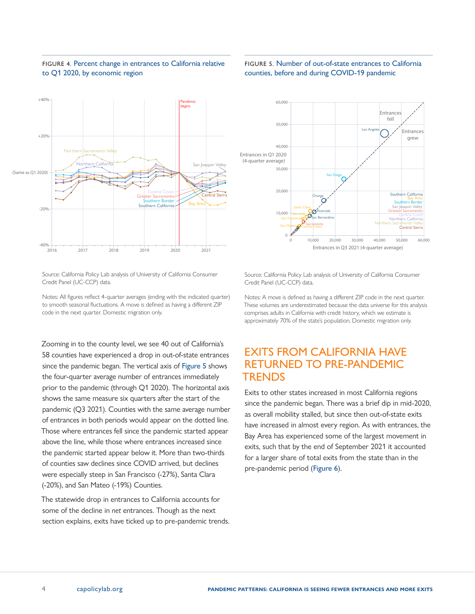



### FIGURE 5. Number of out-of-state entrances to California counties, before and during COVID-19 pandemic



Source: California Policy Lab analysis of University of California Consumer Credit Panel (UC-CCP) data.

Notes: All figures reflect 4-quarter averages (ending with the indicated quarter) to smooth seasonal fluctuations. A move is defined as having a different ZIP code in the next quarter. Domestic migration only.

Zooming in to the county level, we see 40 out of California's 58 counties have experienced a drop in out-of-state entrances since the pandemic began. The vertical axis of Figure 5 shows the four-quarter average number of entrances immediately prior to the pandemic (through Q1 2020). The horizontal axis shows the same measure six quarters after the start of the pandemic (Q3 2021). Counties with the same average number of entrances in both periods would appear on the dotted line. Those where entrances fell since the pandemic started appear above the line, while those where entrances increased since the pandemic started appear below it. More than two-thirds of counties saw declines since COVID arrived, but declines were especially steep in San Francisco (-27%), Santa Clara (-20%), and San Mateo (-19%) Counties.

The statewide drop in entrances to California accounts for some of the decline in *net* entrances. Though as the next section explains, exits have ticked up to pre-pandemic trends. Source: California Policy Lab analysis of University of California Consumer Credit Panel (UC-CCP) data.

Notes: A move is defined as having a different ZIP code in the next quarter. These volumes are underestimated because the data universe for this analysis comprises adults in California with credit history, which we estimate is approximately 70% of the state's population. Domestic migration only.

# EXITS FROM CALIFORNIA HAVE RETURNED TO PRE-PANDEMIC TRENDS

Exits to other states increased in most California regions since the pandemic began. There was a brief dip in mid-2020, as overall mobility stalled, but since then out-of-state exits have increased in almost every region. As with entrances, the Bay Area has experienced some of the largest movement in exits, such that by the end of September 2021 it accounted for a larger share of total exits from the state than in the pre-pandemic period (Figure 6).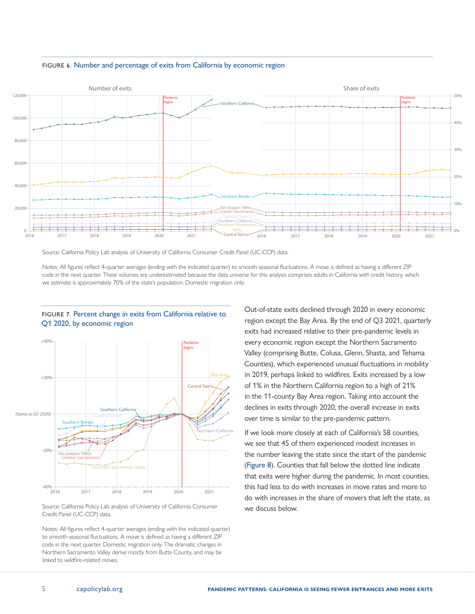

#### FIGURE 6. Number and percentage of exits from California by economic region

Source: California Policy Lab analysis of University of California Consumer Credit Panel (UC-CCP) data.

Notes: All figures reflect 4-quarter averages (ending with the indicated quarter) to smooth seasonal fluctuations. A move is defined as having a different ZIP code in the next quarter. These volumes are underestimated because the data universe for this analysis comprises adults in California with credit history, which we estimate is approximately 70% of the state's population. Domestic migration only.



### FIGURE 7. Percent change in exits from California relative to Q1 2020, by economic region

Source: California Policy Lab analysis of University of California Consumer Credit Panel (UC-CCP) data.

Notes: All figures reflect 4-quarter averages (ending with the indicated quarter) to smooth seasonal fluctuations. A move is defined as having a different ZIP code in the next quarter. Domestic migration only. The dramatic changes in Northern Sacramento Valley derive mostly from Butte County, and may be linked to wildfire-related moves.

Out-of-state exits declined through 2020 in every economic region except the Bay Area. By the end of Q3 2021, quarterly exits had increased relative to their pre-pandemic levels in every economic region except the Northern Sacramento Valley (comprising Butte, Colusa, Glenn, Shasta, and Tehama Counties), which experienced unusual fluctuations in mobility in 2019, perhaps linked to wildfires. Exits increased by a low of 1% in the Northern California region to a high of 21% in the 11-county Bay Area region. Taking into account the declines in exits through 2020, the overall increase in exits over time is similar to the pre-pandemic pattern.

If we look more closely at each of California's 58 counties, we see that 45 of them experienced modest increases in the number leaving the state since the start of the pandemic (Figure 8). Counties that fall below the dotted line indicate that exits were higher during the pandemic. In most counties, this had less to do with increases in move rates and more to do with increases in the share of movers that left the state, as we discuss below.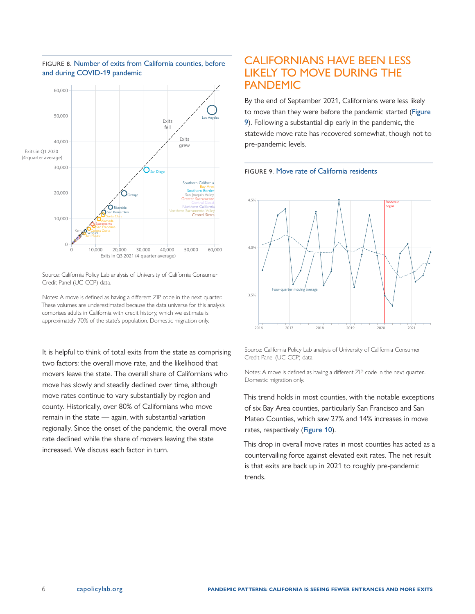

### FIGURE 8. Number of exits from California counties, before and during COVID-19 pandemic

Source: California Policy Lab analysis of University of California Consumer Credit Panel (UC-CCP) data.

Notes: A move is defined as having a different ZIP code in the next quarter. These volumes are underestimated because the data universe for this analysis comprises adults in California with credit history, which we estimate is approximately 70% of the state's population. Domestic migration only.

It is helpful to think of total exits from the state as comprising two factors: the overall move rate, and the likelihood that movers leave the state. The overall share of Californians who move has slowly and steadily declined over time, although move rates continue to vary substantially by region and county. Historically, over 80% of Californians who move remain in the state — again, with substantial variation regionally. Since the onset of the pandemic, the overall move rate declined while the share of movers leaving the state increased. We discuss each factor in turn.

### CALIFORNIANS HAVE BEEN LESS LIKELY TO MOVE DURING THE PANDEMIC

By the end of September 2021, Californians were less likely to move than they were before the pandemic started (Figure 9). Following a substantial dip early in the pandemic, the statewide move rate has recovered somewhat, though not to pre-pandemic levels.





Source: California Policy Lab analysis of University of California Consumer Credit Panel (UC-CCP) data.

Notes: A move is defined as having a different ZIP code in the next quarter.. Domestic migration only.

This trend holds in most counties, with the notable exceptions of six Bay Area counties, particularly San Francisco and San Mateo Counties, which saw 27% and 14% increases in move rates, respectively (Figure 10).

This drop in overall move rates in most counties has acted as a countervailing force against elevated exit rates. The net result is that exits are back up in 2021 to roughly pre-pandemic trends.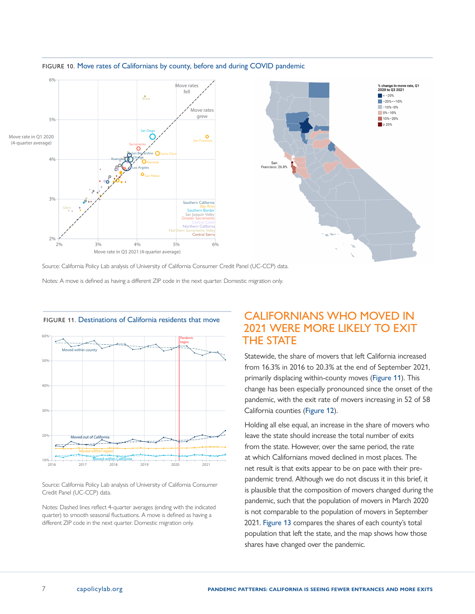

#### FIGURE 10. Move rates of Californians by county, before and during COVID pandemic

Source: California Policy Lab analysis of University of California Consumer Credit Panel (UC-CCP) data.

Notes: A move is defined as having a different ZIP code in the next quarter. Domestic migration only.





Source: California Policy Lab analysis of University of California Consumer Credit Panel (UC-CCP) data.

Notes: Dashed lines reflect 4-quarter averages (ending with the indicated quarter) to smooth seasonal fluctuations. A move is defined as having a different ZIP code in the next quarter. Domestic migration only.

# CALIFORNIANS WHO MOVED IN 2021 WERE MORE LIKELY TO EXIT THE STATE

Statewide, the share of movers that left California increased from 16.3% in 2016 to 20.3% at the end of September 2021, primarily displacing within-county moves (Figure 11). This change has been especially pronounced since the onset of the pandemic, with the exit rate of movers increasing in 52 of 58 California counties (Figure 12).

Holding all else equal, an increase in the share of movers who leave the state should increase the total number of exits from the state. However, over the same period, the rate at which Californians moved declined in most places. The net result is that exits appear to be on pace with their prepandemic trend. Although we do not discuss it in this brief, it is plausible that the composition of movers changed during the pandemic, such that the population of movers in March 2020 is not comparable to the population of movers in September 2021. Figure 13 compares the shares of each county's total population that left the state, and the map shows how those shares have changed over the pandemic.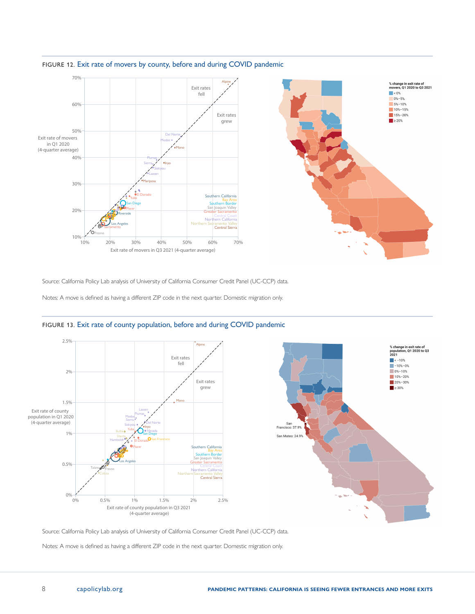

### FIGURE 12. Exit rate of movers by county, before and during COVID pandemic

Source: California Policy Lab analysis of University of California Consumer Credit Panel (UC-CCP) data.

Notes: A move is defined as having a different ZIP code in the next quarter. Domestic migration only.



### FIGURE 13. Exit rate of county population, before and during COVID pandemic

Source: California Policy Lab analysis of University of California Consumer Credit Panel (UC-CCP) data.

Notes: A move is defined as having a different ZIP code in the next quarter. Domestic migration only.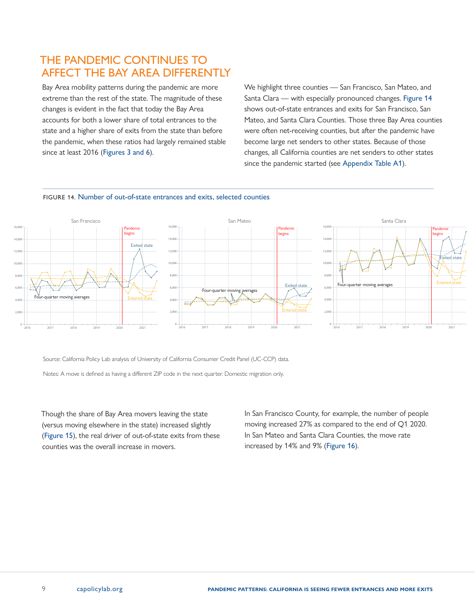# THE PANDEMIC CONTINUES TO AFFECT THE BAY AREA DIFFERENTLY

Bay Area mobility patterns during the pandemic are more extreme than the rest of the state. The magnitude of these changes is evident in the fact that today the Bay Area accounts for both a lower share of total entrances to the state and a higher share of exits from the state than before the pandemic, when these ratios had largely remained stable since at least 2016 (Figures 3 and 6).

We highlight three counties — San Francisco, San Mateo, and Santa Clara — with especially pronounced changes. Figure 14 shows out-of-state entrances and exits for San Francisco, San Mateo, and Santa Clara Counties. Those three Bay Area counties were often net-receiving counties, but after the pandemic have become large net senders to other states. Because of those changes, all California counties are net senders to other states since the pandemic started (see Appendix Table A1).



### FIGURE 14. Number of out-of-state entrances and exits, selected counties

Source: California Policy Lab analysis of University of California Consumer Credit Panel (UC-CCP) data.

Notes: A move is defined as having a different ZIP code in the next quarter. Domestic migration only.

Though the share of Bay Area movers leaving the state (versus moving elsewhere in the state) increased slightly (Figure 15), the real driver of out-of-state exits from these counties was the overall increase in movers.

In San Francisco County, for example, the number of people moving increased 27% as compared to the end of Q1 2020. In San Mateo and Santa Clara Counties, the move rate increased by 14% and 9% (Figure 16).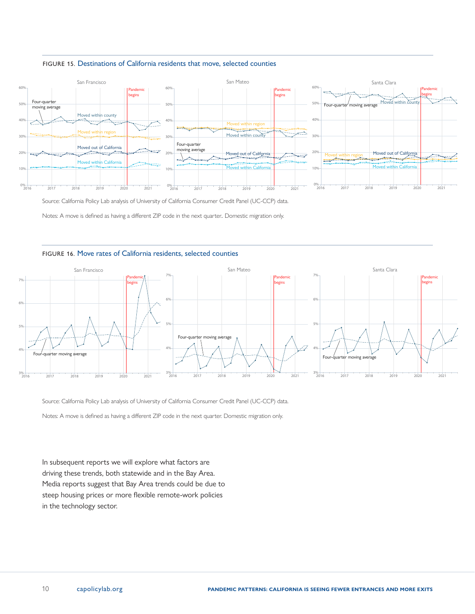



Source: California Policy Lab analysis of University of California Consumer Credit Panel (UC-CCP) data.

Notes: A move is defined as having a different ZIP code in the next quarter.. Domestic migration only.

### FIGURE 16. Move rates of California residents, selected counties

![](_page_9_Figure_5.jpeg)

Source: California Policy Lab analysis of University of California Consumer Credit Panel (UC-CCP) data.

Notes: A move is defined as having a different ZIP code in the next quarter. Domestic migration only.

In subsequent reports we will explore what factors are driving these trends, both statewide and in the Bay Area. Media reports suggest that Bay Area trends could be due to steep housing prices or more flexible remote-work policies in the technology sector.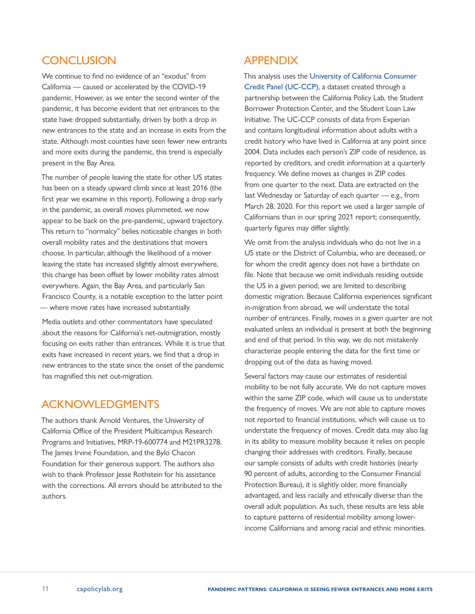# **CONCLUSION**

We continue to find no evidence of an "exodus" from California — caused or accelerated by the COVID-19 pandemic. However, as we enter the second winter of the pandemic, it has become evident that *net* entrances to the state have dropped substantially, driven by both a drop in new entrances to the state and an increase in exits from the state. Although most counties have seen fewer new entrants and more exits during the pandemic, this trend is especially present in the Bay Area.

The number of people leaving the state for other US states has been on a steady upward climb since at least 2016 (the first year we examine in this report). Following a drop early in the pandemic, as overall moves plummeted, we now appear to be back on the pre-pandemic, upward trajectory. This return to "normalcy" belies noticeable changes in both overall mobility rates and the destinations that movers choose. In particular, although the likelihood of a mover leaving the state has increased slightly almost everywhere, this change has been offset by lower mobility rates almost everywhere. Again, the Bay Area, and particularly San Francisco County, is a notable exception to the latter point — where move rates have increased substantially.

Media outlets and other commentators have speculated about the reasons for California's net-outmigration, mostly focusing on exits rather than entrances. While it is true that exits have increased in recent years, we find that a drop in new entrances to the state since the onset of the pandemic has magnified this net out-migration.

# ACKNOWLEDGMENTS

The authors thank Arnold Ventures, the University of California Office of the President Multicampus Research Programs and Initiatives, MRP-19-600774 and M21PR3278, The James Irvine Foundation, and the Bylo Chacon Foundation for their generous support. The authors also wish to thank Professor Jesse Rothstein for his assistance with the corrections. All errors should be attributed to the authors.

# APPENDIX

This analysis uses the [University of California Consumer](https://www.capolicylab.org/data-resources/university-of-california-consumer-credit-panel/)  [Credit Panel \(UC-CCP\)](https://www.capolicylab.org/data-resources/university-of-california-consumer-credit-panel/), a dataset created through a partnership between the California Policy Lab, the Student Borrower Protection Center, and the Student Loan Law Initiative. The UC-CCP consists of data from Experian and contains longitudinal information about adults with a credit history who have lived in California at any point since 2004. Data includes each person's ZIP code of residence, as reported by creditors, and credit information at a quarterly frequency. We define moves as changes in ZIP codes from one quarter to the next. Data are extracted on the last Wednesday or Saturday of each quarter — e.g., from March 28, 2020. For this report we used a larger sample of Californians than in our spring 2021 report; consequently, quarterly figures may differ slightly.

We omit from the analysis individuals who do not live in a US state or the District of Columbia, who are deceased, or for whom the credit agency does not have a birthdate on file. Note that because we omit individuals residing outside the US in a given period, we are limited to describing domestic migration. Because California experiences significant in-migration from abroad, we will understate the total number of entrances. Finally, moves in a given quarter are not evaluated unless an individual is present at both the beginning and end of that period. In this way, we do not mistakenly characterize people entering the data for the first time or dropping out of the data as having moved.

Several factors may cause our estimates of residential mobility to be not fully accurate. We do not capture moves within the same ZIP code, which will cause us to understate the frequency of moves. We are not able to capture moves not reported to financial institutions, which will cause us to understate the frequency of moves. Credit data may also lag in its ability to measure mobility because it relies on people changing their addresses with creditors. Finally, because our sample consists of adults with credit histories (nearly 90 percent of adults, according to the Consumer Financial Protection Bureau), it is slightly older, more financially advantaged, and less racially and ethnically diverse than the overall adult population. As such, these results are less able to capture patterns of residential mobility among lowerincome Californians and among racial and ethnic minorities.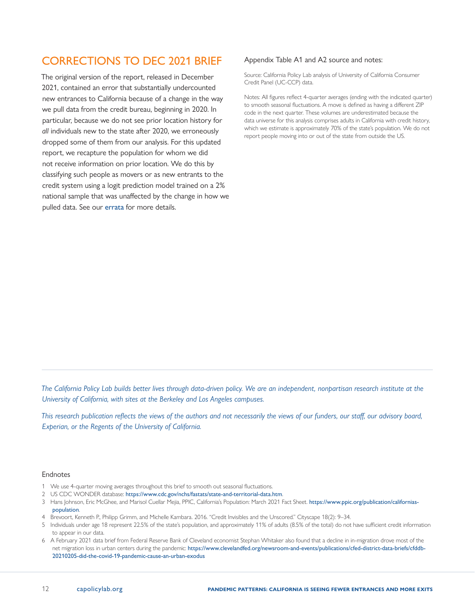# <span id="page-11-0"></span>CORRECTIONS TO DEC 2021 BRIEF

The original version of the report, released in December 2021, contained an error that substantially undercounted new entrances to California because of a change in the way we pull data from the credit bureau, beginning in 2020. In particular, because we do not see prior location history for *all* individuals new to the state after 2020, we erroneously dropped some of them from our analysis. For this updated report, we recapture the population for whom we did not receive information on prior location. We do this by classifying such people as movers or as new entrants to the credit system using a logit prediction model trained on a 2% national sample that was unaffected by the change in how we pulled data. See our [errata](https://www.capolicylab.org/wp-content/uploads/2022/04/Correcting-the-record-about-post-2020-entrances-to-California.pdf) for more details.

### Appendix Table A1 and A2 source and notes:

Source: California Policy Lab analysis of University of California Consumer Credit Panel (UC-CCP) data.

Notes: All figures reflect 4-quarter averages (ending with the indicated quarter) to smooth seasonal fluctuations. A move is defined as having a different ZIP code in the next quarter. These volumes are underestimated because the data universe for this analysis comprises adults in California with credit history, which we estimate is approximately 70% of the state's population. We do not report people moving into or out of the state from outside the US.

*The California Policy Lab builds better lives through data-driven policy. We are an independent, nonpartisan research institute at the University of California, with sites at the Berkeley and Los Angeles campuses.*

*This research publication reflects the views of the authors and not necessarily the views of our funders, our staff, our advisory board, Experian, or the Regents of the University of California.*

#### Endnotes

- [1](#page-0-0) We use 4-quarter moving averages throughout this brief to smooth out seasonal fluctuations.
- [2](#page-1-0) US CDC WONDER database: <https://www.cdc.gov/nchs/fastats/state-and-territorial-data.htm>.
- [3](#page-1-0) [Hans Johnson](https://www.ppic.org/person/hans-johnson/), [Eric McGhee](https://www.ppic.org/person/eric-mcghee/), and [Marisol Cuellar Mejia](https://www.ppic.org/person/marisol-cuellar-mejia/), PPIC, California's Population: March 2021 Fact Sheet. [https://www.ppic.org/publication/californias](https://www.ppic.org/publication/californias-population)[population](https://www.ppic.org/publication/californias-population).
- [4](#page-1-0) Brevoort, Kenneth P., Philipp Grimm, and Michelle Kambara. 2016. "Credit Invisibles and the Unscored." Cityscape 18(2): 9–34.
- [5](#page-1-0) Individuals under age 18 represent 22.5% of the state's population, and approximately 11% of adults (8.5% of the total) do not have sufficient credit information to appear in our data.
- [6](#page-1-0) A February 2021 data brief from Federal Reserve Bank of Cleveland economist Stephan Whitaker also found that a decline in in-migration drove most of the net migration loss in urban centers during the pandemic: https://www.clevelandfed.org/newsroom-and-events/publications/cfed-district-data-briefs/cfddb-20210205-did-the-covid-19-pandemic-cause-an-urban-exodus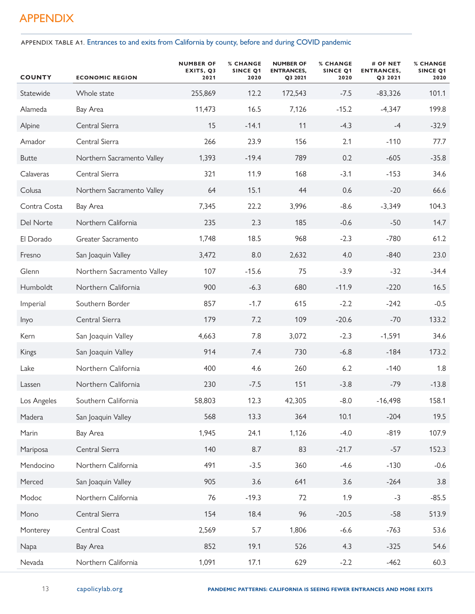# APPENDIX

APPENDIX TABLE A1. Entrances to and exits from California by county, before and during COVID pandemic

| <b>COUNTY</b> | <b>ECONOMIC REGION</b>     | <b>NUMBER OF</b><br>EXITS, Q3<br>2021 | <b>% CHANGE</b><br><b>SINCE Q1</b><br>2020 | <b>NUMBER OF</b><br><b>ENTRANCES,</b><br>Q3 2021 | <b>% CHANGE</b><br><b>SINCE Q1</b><br>2020 | # OF NET<br><b>ENTRANCES,</b><br>Q3 2021 | <b>% CHANGE</b><br><b>SINCE Q1</b><br>2020 |
|---------------|----------------------------|---------------------------------------|--------------------------------------------|--------------------------------------------------|--------------------------------------------|------------------------------------------|--------------------------------------------|
| Statewide     | Whole state                | 255,869                               | 12.2                                       | 172,543                                          | $-7.5$                                     | $-83,326$                                | 101.1                                      |
| Alameda       | Bay Area                   | 11,473                                | 16.5                                       | 7,126                                            | $-15.2$                                    | $-4,347$                                 | 199.8                                      |
| Alpine        | Central Sierra             | 15                                    | $-14.1$                                    | 11                                               | $-4.3$                                     | $-4$                                     | $-32.9$                                    |
| Amador        | Central Sierra             | 266                                   | 23.9                                       | 156                                              | 2.1                                        | $-110$                                   | 77.7                                       |
| <b>Butte</b>  | Northern Sacramento Valley | 1,393                                 | $-19.4$                                    | 789                                              | 0.2                                        | $-605$                                   | $-35.8$                                    |
| Calaveras     | Central Sierra             | 321                                   | 11.9                                       | 168                                              | $-3.1$                                     | $-153$                                   | 34.6                                       |
| Colusa        | Northern Sacramento Valley | 64                                    | 15.1                                       | 44                                               | 0.6                                        | $-20$                                    | 66.6                                       |
| Contra Costa  | Bay Area                   | 7,345                                 | 22.2                                       | 3,996                                            | $-8.6$                                     | $-3,349$                                 | 104.3                                      |
| Del Norte     | Northern California        | 235                                   | 2.3                                        | 185                                              | $-0.6$                                     | $-50$                                    | 14.7                                       |
| El Dorado     | Greater Sacramento         | 1,748                                 | 18.5                                       | 968                                              | $-2.3$                                     | $-780$                                   | 61.2                                       |
| Fresno        | San Joaquin Valley         | 3,472                                 | 8.0                                        | 2,632                                            | 4.0                                        | $-840$                                   | 23.0                                       |
| Glenn         | Northern Sacramento Valley | 107                                   | $-15.6$                                    | 75                                               | $-3.9$                                     | $-32$                                    | $-34.4$                                    |
| Humboldt      | Northern California        | 900                                   | $-6.3$                                     | 680                                              | $-11.9$                                    | $-220$                                   | 16.5                                       |
| Imperial      | Southern Border            | 857                                   | $-1.7$                                     | 615                                              | $-2.2$                                     | $-242$                                   | $-0.5$                                     |
| Inyo          | Central Sierra             | 179                                   | 7.2                                        | 109                                              | $-20.6$                                    | $-70$                                    | 133.2                                      |
| Kern          | San Joaquin Valley         | 4,663                                 | 7.8                                        | 3,072                                            | $-2.3$                                     | $-1,591$                                 | 34.6                                       |
| Kings         | San Joaquin Valley         | 914                                   | 7.4                                        | 730                                              | $-6.8$                                     | $-184$                                   | 173.2                                      |
| Lake          | Northern California        | 400                                   | 4.6                                        | 260                                              | 6.2                                        | $-140$                                   | 1.8                                        |
| Lassen        | Northern California        | 230                                   | $-7.5$                                     | 151                                              | $-3.8$                                     | $-79$                                    | $-13.8$                                    |
| Los Angeles   | Southern California        | 58,803                                | 12.3                                       | 42,305                                           | $-8.0$                                     | $-16,498$                                | 158.1                                      |
| Madera        | San Joaquin Valley         | 568                                   | 13.3                                       | 364                                              | 10.1                                       | $-204$                                   | 19.5                                       |
| Marin         | Bay Area                   | 1,945                                 | 24.1                                       | 1,126                                            | $-4.0$                                     | $-819$                                   | 107.9                                      |
| Mariposa      | Central Sierra             | 140                                   | 8.7                                        | 83                                               | $-21.7$                                    | $-57$                                    | 152.3                                      |
| Mendocino     | Northern California        | 491                                   | $-3.5$                                     | 360                                              | $-4.6$                                     | $-130$                                   | $-0.6$                                     |
| Merced        | San Joaquin Valley         | 905                                   | 3.6                                        | 641                                              | 3.6                                        | $-264$                                   | 3.8                                        |
| Modoc         | Northern California        | 76                                    | $-19.3$                                    | 72                                               | 1.9                                        | $-3$                                     | $-85.5$                                    |
| Mono          | Central Sierra             | 154                                   | 18.4                                       | 96                                               | $-20.5$                                    | $-58$                                    | 513.9                                      |
| Monterey      | Central Coast              | 2,569                                 | 5.7                                        | 1,806                                            | $-6.6$                                     | $-763$                                   | 53.6                                       |
| Napa          | Bay Area                   | 852                                   | 19.1                                       | 526                                              | 4.3                                        | $-325$                                   | 54.6                                       |
| Nevada        | Northern California        | 1,091                                 | 17.1                                       | 629                                              | $-2.2$                                     | $-462$                                   | 60.3                                       |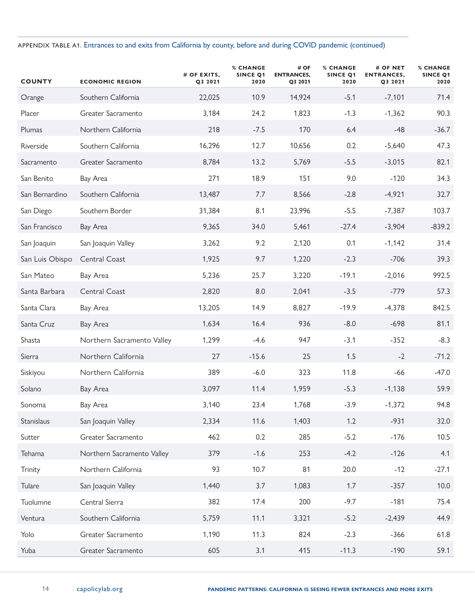### APPENDIX TABLE A1. Entrances to and exits from California by county, before and during COVID pandemic (continued)

| <b>COUNTY</b>   | <b>ECONOMIC REGION</b>     | # OF EXITS,<br>Q3 2021 | <b>% CHANGE</b><br>SINCE Q1<br>2020 | # OF<br><b>ENTRANCES,</b><br>Q3 2021 | <b>% CHANGE</b><br><b>SINCE Q1</b><br>2020 | # OF NET<br><b>ENTRANCES,</b><br>Q3 2021 | <b>% CHANGE</b><br><b>SINCE Q1</b><br>2020 |
|-----------------|----------------------------|------------------------|-------------------------------------|--------------------------------------|--------------------------------------------|------------------------------------------|--------------------------------------------|
| Orange          | Southern California        | 22,025                 | 10.9                                | 14,924                               | $-5.1$                                     | $-7,101$                                 | 71.4                                       |
| Placer          | Greater Sacramento         | 3,184                  | 24.2                                | 1,823                                | $-1.3$                                     | $-1,362$                                 | 90.3                                       |
| Plumas          | Northern California        | 218                    | $-7.5$                              | 170                                  | 6.4                                        | $-48$                                    | $-36.7$                                    |
| Riverside       | Southern California        | 16,296                 | 12.7                                | 10,656                               | 0.2                                        | $-5,640$                                 | 47.3                                       |
| Sacramento      | Greater Sacramento         | 8,784                  | 13.2                                | 5,769                                | $-5.5$                                     | $-3,015$                                 | 82.1                                       |
| San Benito      | Bay Area                   | 271                    | 18.9                                | 151                                  | 9.0                                        | $-120$                                   | 34.3                                       |
| San Bernardino  | Southern California        | 13,487                 | 7.7                                 | 8,566                                | $-2.8$                                     | $-4,921$                                 | 32.7                                       |
| San Diego       | Southern Border            | 31,384                 | 8.1                                 | 23,996                               | $-5.5$                                     | $-7,387$                                 | 103.7                                      |
| San Francisco   | Bay Area                   | 9,365                  | 34.0                                | 5,461                                | $-27.4$                                    | $-3,904$                                 | $-839.2$                                   |
| San Joaquin     | San Joaquin Valley         | 3,262                  | 9.2                                 | 2,120                                | 0.1                                        | $-1,142$                                 | 31.4                                       |
| San Luis Obispo | Central Coast              | 1,925                  | 9.7                                 | 1,220                                | $-2.3$                                     | $-706$                                   | 39.3                                       |
| San Mateo       | Bay Area                   | 5,236                  | 25.7                                | 3,220                                | $-19.1$                                    | $-2,016$                                 | 992.5                                      |
| Santa Barbara   | Central Coast              | 2,820                  | 8.0                                 | 2,041                                | $-3.5$                                     | $-779$                                   | 57.3                                       |
| Santa Clara     | Bay Area                   | 13,205                 | 14.9                                | 8,827                                | $-19.9$                                    | $-4,378$                                 | 842.5                                      |
| Santa Cruz      | Bay Area                   | 1,634                  | 16.4                                | 936                                  | $-8.0$                                     | $-698$                                   | 81.1                                       |
| Shasta          | Northern Sacramento Valley | 1,299                  | $-4.6$                              | 947                                  | $-3.1$                                     | $-352$                                   | $-8.3$                                     |
| Sierra          | Northern California        | 27                     | $-15.6$                             | 25                                   | 1.5                                        | $-2$                                     | $-71.2$                                    |
| Siskiyou        | Northern California        | 389                    | $-6.0$                              | 323                                  | 11.8                                       | $-66$                                    | $-47.0$                                    |
| Solano          | Bay Area                   | 3,097                  | 11.4                                | 1,959                                | $-5.3$                                     | $-1,138$                                 | 59.9                                       |
| Sonoma          | Bay Area                   | 3,140                  | 23.4                                | 1,768                                | $-3.9$                                     | $-1,372$                                 | 94.8                                       |
| Stanislaus      | San Joaquin Valley         | 2,334                  | 11.6                                | 1,403                                | 1.2                                        | $-931$                                   | 32.0                                       |
| Sutter          | Greater Sacramento         | 462                    | 0.2                                 | 285                                  | $-5.2$                                     | $-176$                                   | 10.5                                       |
| Tehama          | Northern Sacramento Valley | 379                    | $-1.6$                              | 253                                  | $-4.2$                                     | $-126$                                   | 4.1                                        |
| Trinity         | Northern California        | 93                     | 10.7                                | 81                                   | 20.0                                       | $-12$                                    | $-27.1$                                    |
| Tulare          | San Joaquin Valley         | 1,440                  | 3.7                                 | 1,083                                | 1.7                                        | $-357$                                   | 10.0                                       |
| Tuolumne        | Central Sierra             | 382                    | 17.4                                | 200                                  | $-9.7$                                     | $-181$                                   | 75.4                                       |
| Ventura         | Southern California        | 5,759                  | 11.1                                | 3,321                                | $-5.2$                                     | $-2,439$                                 | 44.9                                       |
| Yolo            | Greater Sacramento         | 1,190                  | 11.3                                | 824                                  | $-2.3$                                     | $-366$                                   | 61.8                                       |
| Yuba            | Greater Sacramento         | 605                    | 3.1                                 | 415                                  | $-11.3$                                    | $-190$                                   | 59.1                                       |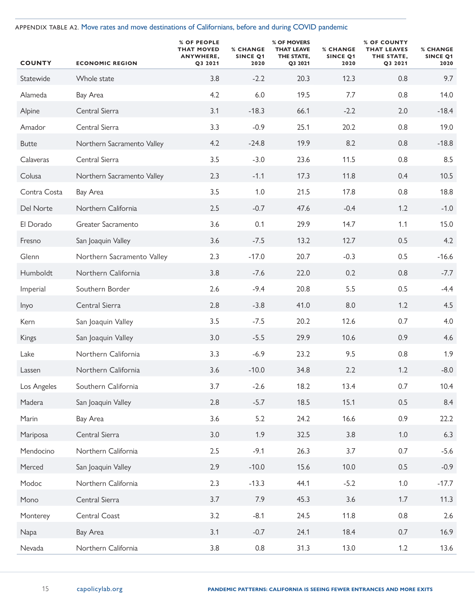APPENDIX TABLE A2. Move rates and move destinations of Californians, before and during COVID pandemic

| <b>COUNTY</b> | <b>ECONOMIC REGION</b>     | % OF PEOPLE<br><b>THAT MOVED</b><br>ANYWHERE,<br>Q3 2021 | <b>% CHANGE</b><br><b>SINCE Q1</b><br>2020 | % OF MOVERS<br><b>THAT LEAVE</b><br>THE STATE,<br>Q3 2021 | <b>% CHANGE</b><br>SINCE Q1<br>2020 | % OF COUNTY<br><b>THAT LEAVES</b><br>THE STATE,<br>Q3 2021 | <b>% CHANGE</b><br><b>SINCE Q1</b><br>2020 |
|---------------|----------------------------|----------------------------------------------------------|--------------------------------------------|-----------------------------------------------------------|-------------------------------------|------------------------------------------------------------|--------------------------------------------|
| Statewide     | Whole state                | 3.8                                                      | $-2.2$                                     | 20.3                                                      | 12.3                                | 0.8                                                        | 9.7                                        |
| Alameda       | Bay Area                   | 4.2                                                      | 6.0                                        | 19.5                                                      | 7.7                                 | 0.8                                                        | 14.0                                       |
| Alpine        | Central Sierra             | 3.1                                                      | $-18.3$                                    | 66.1                                                      | $-2.2$                              | 2.0                                                        | $-18.4$                                    |
| Amador        | Central Sierra             | 3.3                                                      | $-0.9$                                     | 25.1                                                      | 20.2                                | 0.8                                                        | 19.0                                       |
| <b>Butte</b>  | Northern Sacramento Valley | 4.2                                                      | $-24.8$                                    | 19.9                                                      | 8.2                                 | 0.8                                                        | $-18.8$                                    |
| Calaveras     | Central Sierra             | 3.5                                                      | $-3.0$                                     | 23.6                                                      | 11.5                                | 0.8                                                        | 8.5                                        |
| Colusa        | Northern Sacramento Valley | 2.3                                                      | $-1.1$                                     | 17.3                                                      | 11.8                                | 0.4                                                        | 10.5                                       |
| Contra Costa  | Bay Area                   | 3.5                                                      | 1.0                                        | 21.5                                                      | 17.8                                | 0.8                                                        | 18.8                                       |
| Del Norte     | Northern California        | 2.5                                                      | $-0.7$                                     | 47.6                                                      | $-0.4$                              | 1.2                                                        | $-1.0$                                     |
| El Dorado     | Greater Sacramento         | 3.6                                                      | 0.1                                        | 29.9                                                      | 14.7                                | 1.1                                                        | 15.0                                       |
| Fresno        | San Joaquin Valley         | 3.6                                                      | $-7.5$                                     | 13.2                                                      | 12.7                                | 0.5                                                        | 4.2                                        |
| Glenn         | Northern Sacramento Valley | 2.3                                                      | $-17.0$                                    | 20.7                                                      | $-0.3$                              | 0.5                                                        | $-16.6$                                    |
| Humboldt      | Northern California        | 3.8                                                      | $-7.6$                                     | 22.0                                                      | 0.2                                 | 0.8                                                        | $-7.7$                                     |
| Imperial      | Southern Border            | 2.6                                                      | $-9.4$                                     | 20.8                                                      | 5.5                                 | 0.5                                                        | $-4.4$                                     |
| Inyo          | Central Sierra             | 2.8                                                      | $-3.8$                                     | 41.0                                                      | 8.0                                 | 1.2                                                        | 4.5                                        |
| Kern          | San Joaquin Valley         | 3.5                                                      | $-7.5$                                     | 20.2                                                      | 12.6                                | 0.7                                                        | 4.0                                        |
| Kings         | San Joaquin Valley         | 3.0                                                      | $-5.5$                                     | 29.9                                                      | 10.6                                | 0.9                                                        | 4.6                                        |
| Lake          | Northern California        | 3.3                                                      | $-6.9$                                     | 23.2                                                      | 9.5                                 | 0.8                                                        | 1.9                                        |
| Lassen        | Northern California        | 3.6                                                      | $-10.0$                                    | 34.8                                                      | 2.2                                 | 1.2                                                        | $-8.0$                                     |
| Los Angeles   | Southern California        | 3.7                                                      | $-2.6$                                     | 18.2                                                      | 13.4                                | 0.7                                                        | 10.4                                       |
| Madera        | San Joaquin Valley         | 2.8                                                      | $-5.7$                                     | 18.5                                                      | 15.1                                | 0.5                                                        | 8.4                                        |
| Marin         | Bay Area                   | 3.6                                                      | 5.2                                        | 24.2                                                      | 16.6                                | 0.9                                                        | 22.2                                       |
| Mariposa      | Central Sierra             | 3.0                                                      | 1.9                                        | 32.5                                                      | 3.8                                 | $1.0$                                                      | 6.3                                        |
| Mendocino     | Northern California        | 2.5                                                      | $-9.1$                                     | 26.3                                                      | 3.7                                 | 0.7                                                        | $-5.6$                                     |
| Merced        | San Joaquin Valley         | 2.9                                                      | $-10.0$                                    | 15.6                                                      | 10.0                                | 0.5                                                        | $-0.9$                                     |
| Modoc         | Northern California        | 2.3                                                      | $-13.3$                                    | 44.1                                                      | $-5.2$                              | $1.0\,$                                                    | $-17.7$                                    |
| Mono          | Central Sierra             | 3.7                                                      | 7.9                                        | 45.3                                                      | 3.6                                 | 1.7                                                        | 11.3                                       |
| Monterey      | Central Coast              | 3.2                                                      | $-8.1$                                     | 24.5                                                      | 11.8                                | 0.8                                                        | 2.6                                        |
| Napa          | Bay Area                   | 3.1                                                      | $-0.7$                                     | 24.1                                                      | 18.4                                | 0.7                                                        | 16.9                                       |
| Nevada        | Northern California        | 3.8                                                      | 0.8                                        | 31.3                                                      | 13.0                                | 1.2                                                        | 13.6                                       |